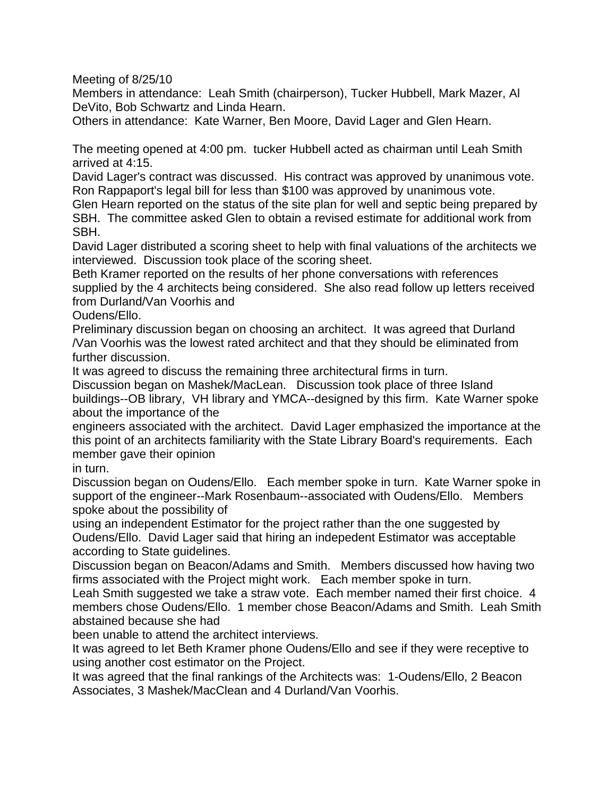Meeting of 8/25/10

Members in attendance: Leah Smith (chairperson), Tucker Hubbell, Mark Mazer, Al DeVito, Bob Schwartz and Linda Hearn.

Others in attendance: Kate Warner, Ben Moore, David Lager and Glen Hearn.

The meeting opened at 4:00 pm. tucker Hubbell acted as chairman until Leah Smith arrived at 4:15.

David Lager's contract was discussed. His contract was approved by unanimous vote. Ron Rappaport's legal bill for less than \$100 was approved by unanimous vote.

Glen Hearn reported on the status of the site plan for well and septic being prepared by SBH. The committee asked Glen to obtain a revised estimate for additional work from SBH.

David Lager distributed a scoring sheet to help with final valuations of the architects we interviewed. Discussion took place of the scoring sheet.

Beth Kramer reported on the results of her phone conversations with references supplied by the 4 architects being considered. She also read follow up letters received from Durland/Van Voorhis and

Oudens/Ello.

Preliminary discussion began on choosing an architect. It was agreed that Durland /Van Voorhis was the lowest rated architect and that they should be eliminated from further discussion.

It was agreed to discuss the remaining three architectural firms in turn.

Discussion began on Mashek/MacLean. Discussion took place of three Island buildings--OB library, VH library and YMCA--designed by this firm. Kate Warner spoke about the importance of the

engineers associated with the architect. David Lager emphasized the importance at the this point of an architects familiarity with the State Library Board's requirements. Each member gave their opinion

in turn.

Discussion began on Oudens/Ello. Each member spoke in turn. Kate Warner spoke in support of the engineer--Mark Rosenbaum--associated with Oudens/Ello. Members spoke about the possibility of

using an independent Estimator for the project rather than the one suggested by Oudens/Ello. David Lager said that hiring an indepedent Estimator was acceptable according to State guidelines.

Discussion began on Beacon/Adams and Smith. Members discussed how having two firms associated with the Project might work. Each member spoke in turn.

Leah Smith suggested we take a straw vote. Each member named their first choice. 4 members chose Oudens/Ello. 1 member chose Beacon/Adams and Smith. Leah Smith abstained because she had

been unable to attend the architect interviews.

It was agreed to let Beth Kramer phone Oudens/Ello and see if they were receptive to using another cost estimator on the Project.

It was agreed that the final rankings of the Architects was: 1-Oudens/Ello, 2 Beacon Associates, 3 Mashek/MacClean and 4 Durland/Van Voorhis.